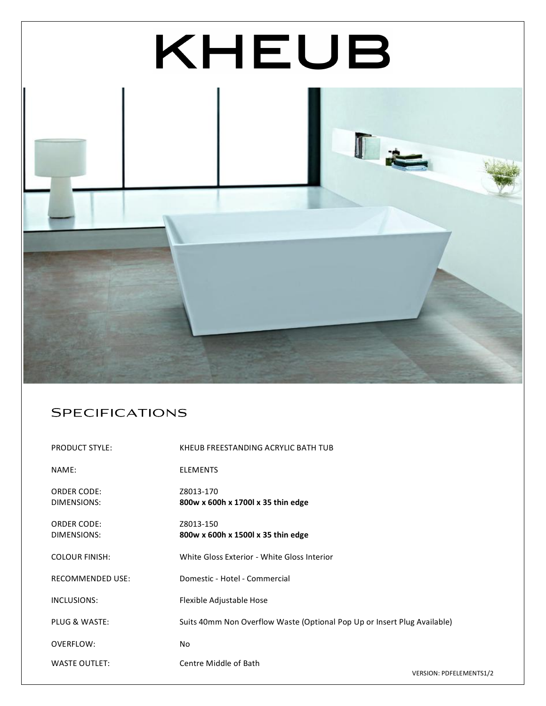

## Specifications

| <b>PRODUCT STYLE:</b>   | KHEUB FREESTANDING ACRYLIC BATH TUB                                      |
|-------------------------|--------------------------------------------------------------------------|
| NAME:                   | <b>ELEMENTS</b>                                                          |
| <b>ORDER CODE:</b>      | Z8013-170                                                                |
| DIMENSIONS:             | 800w x 600h x 1700l x 35 thin edge                                       |
| <b>ORDER CODE:</b>      | Z8013-150                                                                |
| DIMENSIONS:             | 800w x 600h x 1500l x 35 thin edge                                       |
| <b>COLOUR FINISH:</b>   | White Gloss Exterior - White Gloss Interior                              |
| <b>RECOMMENDED USE:</b> | Domestic - Hotel - Commercial                                            |
| INCLUSIONS:             | Flexible Adjustable Hose                                                 |
| PLUG & WASTE:           | Suits 40mm Non Overflow Waste (Optional Pop Up or Insert Plug Available) |
| OVERFLOW:               | <b>No</b>                                                                |
| <b>WASTE OUTLET:</b>    | Centre Middle of Bath<br><b>VERSION: PDFELEMENTS1/2</b>                  |